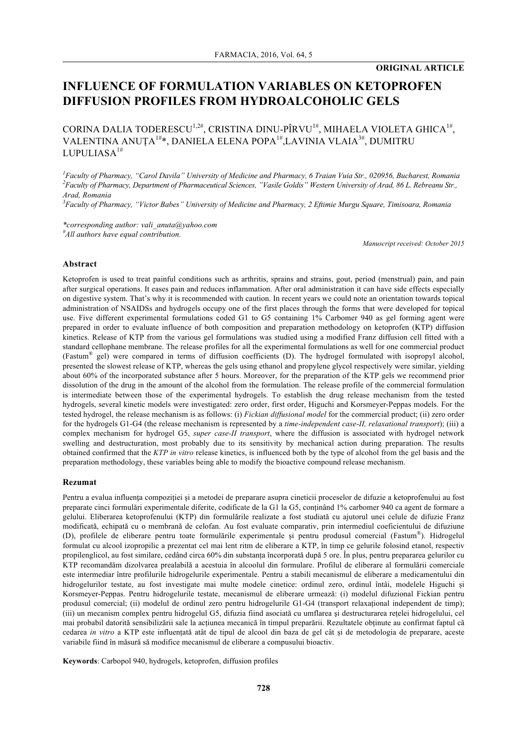# **INFLUENCE OF FORMULATION VARIABLES ON KETOPROFEN DIFFUSION PROFILES FROM HYDROALCOHOLIC GELS**

CORINA DALIA TODERESCU $^{1,2\#}$ , CRISTINA DINU-PÎRVU $^{1\#}$ , MIHAELA VIOLETA GHICA $^{1\#}$ , VALENTINA ANUȚA<sup>1#</sup>\*, DANIELA ELENA POPA<sup>1#</sup>,LAVINIA VLAIA<sup>3#</sup>, DUMITRU LUPULIASA $1#$ 

*1 Faculty of Pharmacy, "Carol Davila" University of Medicine and Pharmacy, 6 Traian Vuia Str., 020956, Bucharest, Romania 2 Faculty of Pharmacy, Department of Pharmaceutical Sciences, "Vasile Goldis" Western University of Arad, 86 L. Rebreanu Str., Arad, Romania*

*3 Faculty of Pharmacy, "Victor Babes" University of Medicine and Pharmacy, 2 Eftimie Murgu Square, Timisoara, Romania*

*\*corresponding author: vali\_anuta@yahoo.com # All authors have equal contribution.*

*Manuscript received: October 2015*

# **Abstract**

Ketoprofen is used to treat painful conditions such as arthritis, sprains and strains, gout, period (menstrual) pain, and pain after surgical operations. It eases pain and reduces inflammation. After oral administration it can have side effects especially on digestive system. That's why it is recommended with caution. In recent years we could note an orientation towards topical administration of NSAIDSs and hydrogels occupy one of the first places through the forms that were developed for topical use. Five different experimental formulations coded G1 to G5 containing 1% Carbomer 940 as gel forming agent were prepared in order to evaluate influence of both composition and preparation methodology on ketoprofen (KTP) diffusion kinetics. Release of KTP from the various gel formulations was studied using a modified Franz diffusion cell fitted with a standard cellophane membrane. The release profiles for all the experimental formulations as well for one commercial product (Fastum® gel) were compared in terms of diffusion coefficients (D). The hydrogel formulated with isopropyl alcohol, presented the slowest release of KTP, whereas the gels using ethanol and propylene glycol respectively were similar, yielding about 60% of the incorporated substance after 5 hours. Moreover, for the preparation of the KTP gels we recommend prior dissolution of the drug in the amount of the alcohol from the formulation. The release profile of the commercial formulation is intermediate between those of the experimental hydrogels. To establish the drug release mechanism from the tested hydrogels, several kinetic models were investigated: zero order, first order, Higuchi and Korsmeyer-Peppas models. For the tested hydrogel, the release mechanism is as follows: (i) *Fickian diffusional model* for the commercial product; (ii) zero order for the hydrogels G1-G4 (the release mechanism is represented by a *time-independent case-II, relaxational transport*); (iii) a complex mechanism for hydrogel G5, *super case-II transport*, where the diffusion is associated with hydrogel network swelling and destructuration, most probably due to its sensitivity by mechanical action during preparation. The results obtained confirmed that the *KTP in vitro* release kinetics, is influenced both by the type of alcohol from the gel basis and the preparation methodology, these variables being able to modify the bioactive compound release mechanism.

### **Rezumat**

Pentru a evalua influenta compozitiei și a metodei de preparare asupra cineticii proceselor de difuzie a ketoprofenului au fost preparate cinci formulări experimentale diferite, codificate de la G1 la G5, conținând 1% carbomer 940 ca agent de formare a gelului. Eliberarea ketoprofenului (KTP) din formulările realizate a fost studiată cu ajutorul unei celule de difuzie Franz modificată, echipată cu o membrană de celofan. Au fost evaluate comparativ, prin intermediul coeficientului de difuziune (D), profilele de eliberare pentru toate formulările experimentale și pentru produsul comercial (Fastum®). Hidrogelul formulat cu alcool izopropilic a prezentat cel mai lent ritm de eliberare a KTP, în timp ce gelurile folosind etanol, respectiv propilenglicol, au fost similare, cedând circa 60% din substanța încorporată după 5 ore. În plus, pentru prepararea gelurilor cu KTP recomandăm dizolvarea prealabilă a acestuia în alcoolul din formulare. Profilul de eliberare al formulării comerciale este intermediar între profilurile hidrogelurile experimentale. Pentru a stabili mecanismul de eliberare a medicamentului din hidrogelurilor testate, au fost investigate mai multe modele cinetice: ordinul zero, ordinul întâi, modelele Higuchi și Korsmeyer-Peppas. Pentru hidrogelurile testate, mecanismul de eliberare urmează: (i) modelul difuzional Fickian pentru produsul comercial; (ii) modelul de ordinul zero pentru hidrogelurile G1-G4 (transport relaxațional independent de timp); (iii) un mecanism complex pentru hidrogelul G5, difuzia fiind asociată cu umflarea şi destructurarea rețelei hidrogelului, cel mai probabil datorită sensibilizării sale la acțiunea mecanică în timpul preparării. Rezultatele obținute au confirmat faptul că cedarea *in vitro* a KTP este influențată atât de tipul de alcool din baza de gel cât și de metodologia de preparare, aceste variabile fiind în măsură să modifice mecanismul de eliberare a compusului bioactiv.

**Keywords**: Carbopol 940, hydrogels, ketoprofen, diffusion profiles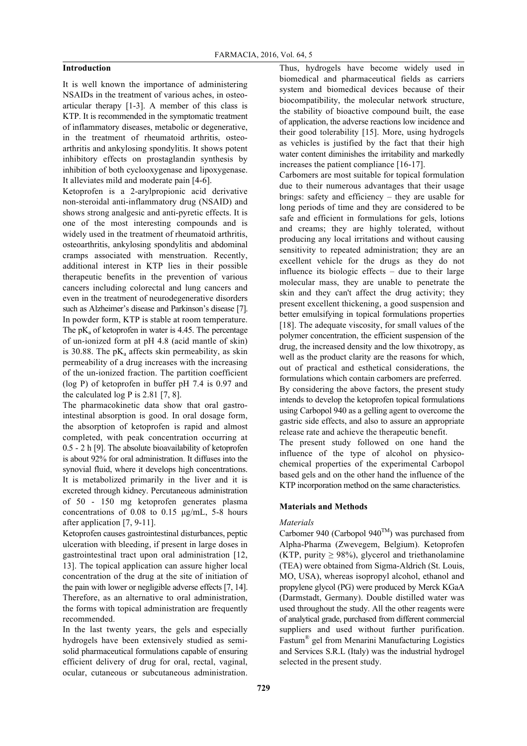# **Introduction**

It is well known the importance of administering NSAIDs in the treatment of various aches, in osteoarticular therapy [1-3]. A member of this class is KTP. It is recommended in the symptomatic treatment of inflammatory diseases, metabolic or degenerative, in the treatment of rheumatoid arthritis, osteoarthritis and ankylosing spondylitis. It shows potent inhibitory effects on prostaglandin synthesis by inhibition of both cyclooxygenase and lipoxygenase. It alleviates mild and moderate pain [4-6].

Ketoprofen is a 2-arylpropionic acid derivative non-steroidal anti-inflammatory drug (NSAID) and shows strong analgesic and anti-pyretic effects. It is one of the most interesting compounds and is widely used in the treatment of rheumatoid arthritis, osteoarthritis, ankylosing spondylitis and abdominal cramps associated with menstruation. Recently, additional interest in KTP lies in their possible therapeutic benefits in the prevention of various cancers including colorectal and lung cancers and even in the treatment of neurodegenerative disorders such as Alzheimer's disease and Parkinson's disease [7]. In powder form, KTP is stable at room temperature. The  $pK_a$  of ketoprofen in water is 4.45. The percentage of un-ionized form at pH 4.8 (acid mantle of skin) is 30.88. The  $pK_a$  affects skin permeability, as skin permeability of a drug increases with the increasing of the un-ionized fraction. The partition coefficient (log P) of ketoprofen in buffer pH 7.4 is 0.97 and the calculated log P is  $2.81$  [7, 8].

The pharmacokinetic data show that oral gastrointestinal absorption is good. In oral dosage form, the absorption of ketoprofen is rapid and almost completed, with peak concentration occurring at 0.5 - 2 h [9]. The absolute bioavailability of ketoprofen is about 92% for oral administration. It diffuses into the synovial fluid, where it develops high concentrations. It is metabolized primarily in the liver and it is excreted through kidney. Percutaneous administration of 50 - 150 mg ketoprofen generates plasma concentrations of 0.08 to 0.15 µg/mL, 5-8 hours after application [7, 9-11].

Ketoprofen causes gastrointestinal disturbances, peptic ulceration with bleeding, if present in large doses in gastrointestinal tract upon oral administration [12, 13]. The topical application can assure higher local concentration of the drug at the site of initiation of the pain with lower or negligible adverse effects [7, 14]. Therefore, as an alternative to oral administration, the forms with topical administration are frequently recommended.

In the last twenty years, the gels and especially hydrogels have been extensively studied as semisolid pharmaceutical formulations capable of ensuring efficient delivery of drug for oral, rectal, vaginal, ocular, cutaneous or subcutaneous administration.

Thus, hydrogels have become widely used in biomedical and pharmaceutical fields as carriers system and biomedical devices because of their biocompatibility, the molecular network structure, the stability of bioactive compound built, the ease of application, the adverse reactions low incidence and their good tolerability [15]. More, using hydrogels as vehicles is justified by the fact that their high water content diminishes the irritability and markedly increases the patient compliance [16-17].

Carbomers are most suitable for topical formulation due to their numerous advantages that their usage brings: safety and efficiency – they are usable for long periods of time and they are considered to be safe and efficient in formulations for gels, lotions and creams; they are highly tolerated, without producing any local irritations and without causing sensitivity to repeated administration; they are an excellent vehicle for the drugs as they do not influence its biologic effects – due to their large molecular mass, they are unable to penetrate the skin and they can't affect the drug activity; they present excellent thickening, a good suspension and better emulsifying in topical formulations properties [18]. The adequate viscosity, for small values of the polymer concentration, the efficient suspension of the drug, the increased density and the low thixotropy, as well as the product clarity are the reasons for which, out of practical and esthetical considerations, the formulations which contain carbomers are preferred. By considering the above factors, the present study intends to develop the ketoprofen topical formulations using Carbopol 940 as a gelling agent to overcome the gastric side effects, and also to assure an appropriate release rate and achieve the therapeutic benefit.

The present study followed on one hand the influence of the type of alcohol on physicochemical properties of the experimental Carbopol based gels and on the other hand the influence of the KTP incorporation method on the same characteristics.

# **Materials and Methods**

# *Materials*

Carbomer 940 (Carbopol 940<sup>TM</sup>) was purchased from Alpha-Pharma (Zwevegem, Belgium). Ketoprofen (KTP, purity  $\geq$  98%), glycerol and triethanolamine (TEA) were obtained from Sigma-Aldrich (St. Louis, MO, USA), whereas isopropyl alcohol, ethanol and propylene glycol (PG) were produced by Merck KGaA (Darmstadt, Germany). Double distilled water was used throughout the study. All the other reagents were of analytical grade, purchased from different commercial suppliers and used without further purification. Fastum® gel from Menarini Manufacturing Logistics and Services S.R.L (Italy) was the industrial hydrogel selected in the present study.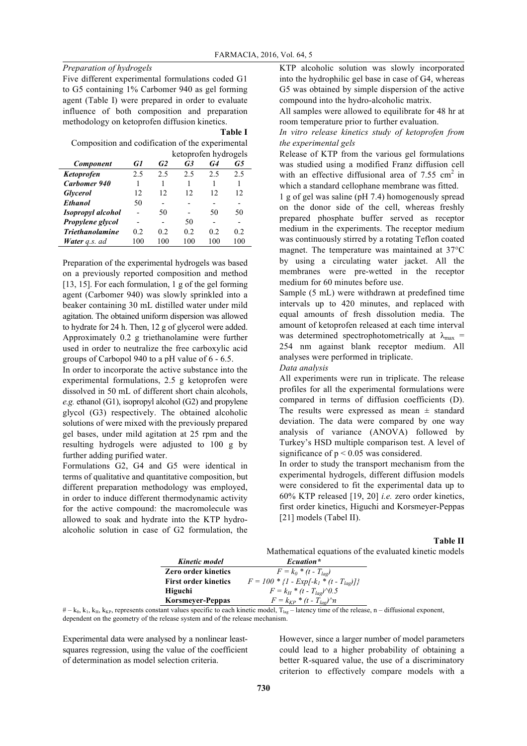# *Preparation of hydrogels*

Five different experimental formulations coded G1 to G5 containing 1% Carbomer 940 as gel forming agent (Table I) were prepared in order to evaluate influence of both composition and preparation methodology on ketoprofen diffusion kinetics.

#### **Table I**

Composition and codification of the experimental ketoprofen hydrogels

| <b>Component</b>            | G1  | G <sub>2</sub> | G3  | G4  | G5  |
|-----------------------------|-----|----------------|-----|-----|-----|
| Ketoprofen                  | 2.5 | 2.5            | 2.5 | 2.5 | 2.5 |
| Carbomer 940                |     |                |     |     |     |
| <b>Glycerol</b>             | 12  | 12             | 12  | 12  | 12  |
| <b>Ethanol</b>              | 50  |                |     |     |     |
| <b>Isopropyl</b> alcohol    |     | 50             |     | 50  | 50  |
| Propylene glycol            |     |                | 50  |     |     |
| <b>Triethanolamine</b>      | 0.2 | 02             | 0.2 | 02  | 0.2 |
| <b>Water</b> <i>a.s.</i> ad | 100 | 100            | 100 | 100 | 100 |

Preparation of the experimental hydrogels was based on a previously reported composition and method [13, 15]. For each formulation, 1 g of the gel forming agent (Carbomer 940) was slowly sprinkled into a beaker containing 30 mL distilled water under mild agitation. The obtained uniform dispersion was allowed to hydrate for 24 h. Then, 12 g of glycerol were added. Approximately 0.2 g triethanolamine were further used in order to neutralize the free carboxylic acid groups of Carbopol 940 to a pH value of 6 - 6.5.

In order to incorporate the active substance into the experimental formulations, 2.5 g ketoprofen were dissolved in 50 mL of different short chain alcohols, *e.g.* ethanol (G1), isopropyl alcohol (G2) and propylene glycol (G3) respectively. The obtained alcoholic solutions of were mixed with the previously prepared gel bases, under mild agitation at 25 rpm and the resulting hydrogels were adjusted to 100 g by further adding purified water.

Formulations G2, G4 and G5 were identical in terms of qualitative and quantitative composition, but different preparation methodology was employed, in order to induce different thermodynamic activity for the active compound: the macromolecule was allowed to soak and hydrate into the KTP hydroalcoholic solution in case of G2 formulation, the KTP alcoholic solution was slowly incorporated into the hydrophilic gel base in case of G4, whereas G5 was obtained by simple dispersion of the active compound into the hydro-alcoholic matrix.

All samples were allowed to equilibrate for 48 hr at room temperature prior to further evaluation.

*In vitro release kinetics study of ketoprofen from the experimental gels*

Release of KTP from the various gel formulations was studied using a modified Franz diffusion cell with an effective diffusional area of  $7.55 \text{ cm}^2$  in which a standard cellophane membrane was fitted.

1 g of gel was saline (pH 7.4) homogenously spread on the donor side of the cell, whereas freshly prepared phosphate buffer served as receptor medium in the experiments. The receptor medium was continuously stirred by a rotating Teflon coated magnet. The temperature was maintained at 37°C by using a circulating water jacket. All the membranes were pre-wetted in the receptor medium for 60 minutes before use.

Sample (5 mL) were withdrawn at predefined time intervals up to 420 minutes, and replaced with equal amounts of fresh dissolution media. The amount of ketoprofen released at each time interval was determined spectrophotometrically at  $\lambda_{\text{max}}$  = 254 nm against blank receptor medium. All analyses were performed in triplicate.

*Data analysis*

All experiments were run in triplicate. The release profiles for all the experimental formulations were compared in terms of diffusion coefficients (D). The results were expressed as mean  $\pm$  standard deviation. The data were compared by one way analysis of variance (ANOVA) followed by Turkey's HSD multiple comparison test. A level of significance of  $p < 0.05$  was considered.

In order to study the transport mechanism from the experimental hydrogels, different diffusion models were considered to fit the experimental data up to 60% KTP released [19, 20] *i.e.* zero order kinetics, first order kinetics, Higuchi and Korsmeyer-Peppas [21] models (Tabel II).

# **Table II**

Mathematical equations of the evaluated kinetic models

| Kinetic model               | Ecuation*                                     |
|-----------------------------|-----------------------------------------------|
| <b>Zero order kinetics</b>  | $F = k_0 * (t - T_{lag})$                     |
| <b>First order kinetics</b> | $F = 100 * \{1 - Exp[-k_1 * (t - T_{lag})]\}$ |
| <b>Higuchi</b>              | $F = k_H * (t - T_{la}) \, \gamma 0.5$        |
| <b>Korsmeyer-Peppas</b>     | $F = k_{KP} * (t - T_{loc}) \gamma n$         |

 $# - k_0, k_1, k_H, k_{KP}$ , represents constant values specific to each kinetic model,  $T_{\text{lag}}$  – latency time of the release, n – diffusional exponent, dependent on the geometry of the release system and of the release mechanism.

Experimental data were analysed by a nonlinear leastsquares regression, using the value of the coefficient of determination as model selection criteria.

However, since a larger number of model parameters could lead to a higher probability of obtaining a better R-squared value, the use of a discriminatory criterion to effectively compare models with a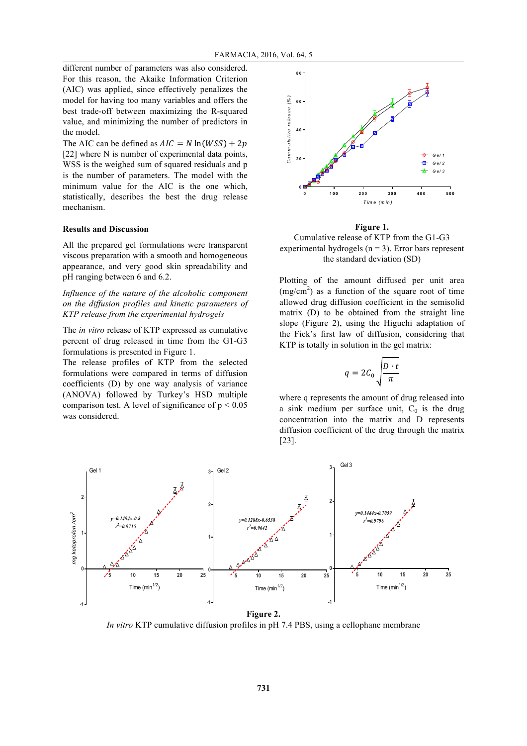different number of parameters was also considered. For this reason, the Akaike Information Criterion (AIC) was applied, since effectively penalizes the model for having too many variables and offers the best trade-off between maximizing the R-squared value, and minimizing the number of predictors in the model.

The AIC can be defined as  $AIC = N \ln(WSS) + 2p$ [22] where N is number of experimental data points, WSS is the weighed sum of squared residuals and p is the number of parameters. The model with the minimum value for the AIC is the one which, statistically, describes the best the drug release mechanism.

# **Results and Discussion**

All the prepared gel formulations were transparent viscous preparation with a smooth and homogeneous appearance, and very good skin spreadability and pH ranging between 6 and 6.2.

*Influence of the nature of the alcoholic component on the diffusion profiles and kinetic parameters of KTP release from the experimental hydrogels*

The *in vitro* release of KTP expressed as cumulative percent of drug released in time from the G1-G3 formulations is presented in Figure 1.

The release profiles of KTP from the selected formulations were compared in terms of diffusion coefficients (D) by one way analysis of variance (ANOVA) followed by Turkey's HSD multiple comparison test. A level of significance of  $p < 0.05$ was considered.



**Figure 1.**

Cumulative release of KTP from the G1-G3 experimental hydrogels  $(n = 3)$ . Error bars represent the standard deviation (SD)

Plotting of the amount diffused per unit area  $(mg/cm<sup>2</sup>)$  as a function of the square root of time allowed drug diffusion coefficient in the semisolid matrix (D) to be obtained from the straight line slope (Figure 2), using the Higuchi adaptation of the Fick's first law of diffusion, considering that KTP is totally in solution in the gel matrix:

$$
q = 2C_0 \sqrt{\frac{D \cdot t}{\pi}}
$$

where q represents the amount of drug released into a sink medium per surface unit,  $C_0$  is the drug concentration into the matrix and D represents diffusion coefficient of the drug through the matrix [23].



*In vitro* KTP cumulative diffusion profiles in pH 7.4 PBS, using a cellophane membrane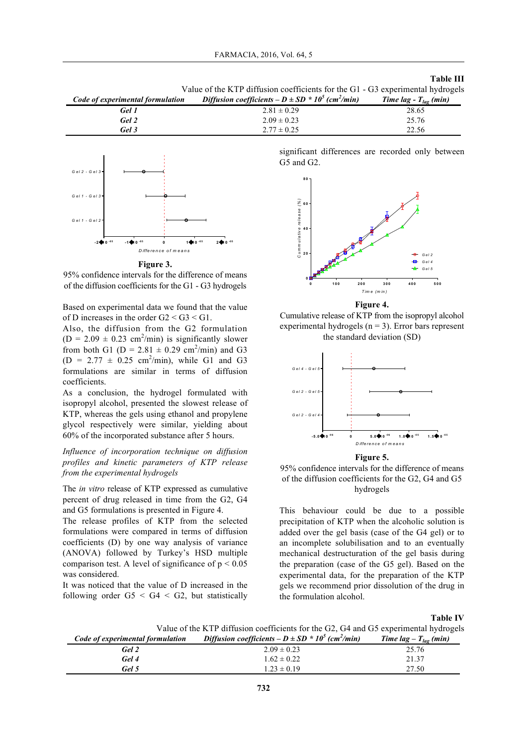#### **Table III**

| Code of experimental formulation | Diffusion coefficients $-D \pm SD^* 10^5$ (cm <sup>2</sup> /min) | Time lag - $T_{lag}$ (min) |
|----------------------------------|------------------------------------------------------------------|----------------------------|
| Gel 1                            | $2.81 \pm 0.29$                                                  | 28.65                      |
| Gel 2                            | $2.09 \pm 0.23$                                                  | 25.76                      |
| Gel 3                            | $2.77 \pm 0.25$                                                  | 22.56                      |





95% confidence intervals for the difference of means of the diffusion coefficients for the G1 - G3 hydrogels

Based on experimental data we found that the value of D increases in the order G2 < G3 < G1.

Also, the diffusion from the G2 formulation  $(D = 2.09 \pm 0.23$  cm<sup>2</sup>/min) is significantly slower from both G1 ( $D = 2.81 \pm 0.29$  cm<sup>2</sup>/min) and G3  $(D = 2.77 \pm 0.25 \text{ cm}^2/\text{min})$ , while G1 and G3 formulations are similar in terms of diffusion coefficients.

As a conclusion, the hydrogel formulated with isopropyl alcohol, presented the slowest release of KTP, whereas the gels using ethanol and propylene glycol respectively were similar, yielding about 60% of the incorporated substance after 5 hours.

*Influence of incorporation technique on diffusion profiles and kinetic parameters of KTP release from the experimental hydrogels*

The *in vitro* release of KTP expressed as cumulative percent of drug released in time from the G2, G4 and G5 formulations is presented in Figure 4.

The release profiles of KTP from the selected formulations were compared in terms of diffusion coefficients (D) by one way analysis of variance (ANOVA) followed by Turkey's HSD multiple comparison test. A level of significance of  $p < 0.05$ was considered.

It was noticed that the value of D increased in the following order  $G5 < G4 < G2$ , but statistically significant differences are recorded only between G5 and G2.



**Figure 4.**

Cumulative release of KTP from the isopropyl alcohol experimental hydrogels ( $n = 3$ ). Error bars represent the standard deviation (SD)



**Figure 5.**

95% confidence intervals for the difference of means of the diffusion coefficients for the G2, G4 and G5 hydrogels

This behaviour could be due to a possible precipitation of KTP when the alcoholic solution is added over the gel basis (case of the G4 gel) or to an incomplete solubilisation and to an eventually mechanical destructuration of the gel basis during the preparation (case of the G5 gel). Based on the experimental data, for the preparation of the KTP gels we recommend prior dissolution of the drug in the formulation alcohol.

**Table IV**

Value of the KTP diffusion coefficients for the G2, G4 and G5 experimental hydrogels

| Code of experimental formulation | Diffusion coefficients $-D \pm SD^* 10^5$ (cm <sup>2</sup> /min) | Time lag $-T_{las}$ (min) |
|----------------------------------|------------------------------------------------------------------|---------------------------|
| Gel 2                            | $2.09 \pm 0.23$                                                  | 25.76                     |
| Gel 4                            | $1.62 \pm 0.22$                                                  | 21.37                     |
| Gel 5                            | $1.23 \pm 0.19$                                                  | 27.50                     |
|                                  |                                                                  |                           |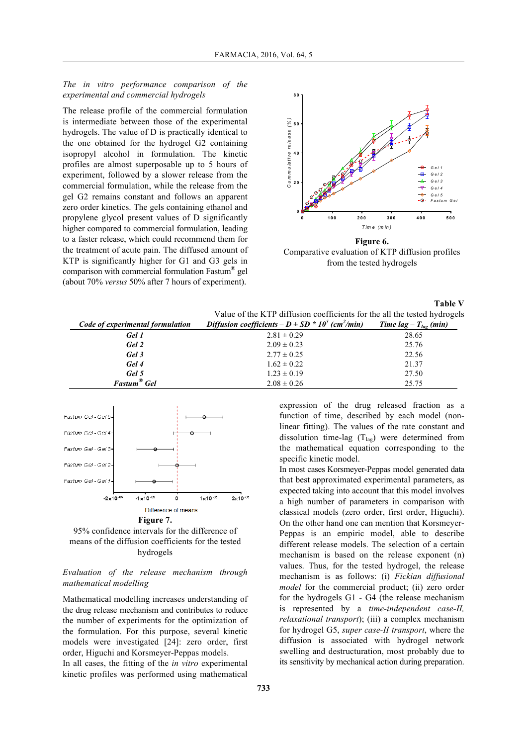*The in vitro performance comparison of the experimental and commercial hydrogels* 

The release profile of the commercial formulation is intermediate between those of the experimental hydrogels. The value of D is practically identical to the one obtained for the hydrogel G2 containing isopropyl alcohol in formulation. The kinetic profiles are almost superposable up to 5 hours of experiment, followed by a slower release from the commercial formulation, while the release from the gel G2 remains constant and follows an apparent zero order kinetics. The gels containing ethanol and propylene glycol present values of D significantly higher compared to commercial formulation, leading to a faster release, which could recommend them for the treatment of acute pain. The diffused amount of KTP is significantly higher for G1 and G3 gels in comparison with commercial formulation Fastum® gel (about 70% *versus* 50% after 7 hours of experiment).



Comparative evaluation of KTP diffusion profiles

from the tested hydrogels

|                                  |                                                                          | <b>Table V</b>            |
|----------------------------------|--------------------------------------------------------------------------|---------------------------|
|                                  | Value of the KTP diffusion coefficients for the all the tested hydrogels |                           |
| Code of experimental formulation | Diffusion coefficients $-D \pm SD^* 10^5$ (cm <sup>2</sup> /min)         | Time lag $-T_{lag}$ (min) |
| Gel 1                            | $2.81 \pm 0.29$                                                          | 28.65                     |
| Gel 2                            | $2.09 \pm 0.23$                                                          | 25.76                     |
| Gel 3                            | $2.77 \pm 0.25$                                                          | 22.56                     |
| Gel 4                            | $1.62 \pm 0.22$                                                          | 21.37                     |
| Gel 5                            | $1.23 \pm 0.19$                                                          | 27.50                     |
| Fastum <sup>®</sup> Gel          | $2.08 \pm 0.26$                                                          | 25.75                     |



95% confidence intervals for the difference of means of the diffusion coefficients for the tested hydrogels

# *Evaluation of the release mechanism through mathematical modelling*

Mathematical modelling increases understanding of the drug release mechanism and contributes to reduce the number of experiments for the optimization of the formulation. For this purpose, several kinetic models were investigated [24]: zero order, first order, Higuchi and Korsmeyer-Peppas models.

In all cases, the fitting of the *in vitro* experimental kinetic profiles was performed using mathematical

expression of the drug released fraction as a function of time, described by each model (nonlinear fitting). The values of the rate constant and dissolution time-lag  $(T_{lag})$  were determined from the mathematical equation corresponding to the specific kinetic model.

In most cases Korsmeyer-Peppas model generated data that best approximated experimental parameters, as expected taking into account that this model involves a high number of parameters in comparison with classical models (zero order, first order, Higuchi). On the other hand one can mention that Korsmeyer-Peppas is an empiric model, able to describe different release models. The selection of a certain mechanism is based on the release exponent (n) values. Thus, for the tested hydrogel, the release mechanism is as follows: (i) *Fickian diffusional model* for the commercial product; (ii) zero order for the hydrogels G1 - G4 (the release mechanism is represented by a *time-independent case-II, relaxational transport*); (iii) a complex mechanism for hydrogel G5, *super case-II transport*, where the diffusion is associated with hydrogel network swelling and destructuration, most probably due to its sensitivity by mechanical action during preparation.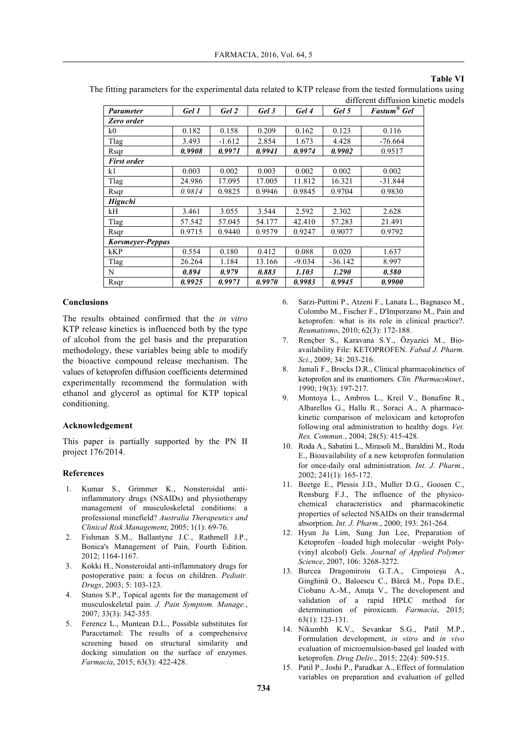### **Table VI**

The fitting parameters for the experimental data related to KTP release from the tested formulations using different diffusion kinetic models

| Parameter          | Gel 1  | Gel 2    | Gel 3  | Gel 4    | Gel 5     | <b>Fastum<sup>®</sup></b> Gel |
|--------------------|--------|----------|--------|----------|-----------|-------------------------------|
| Zero order         |        |          |        |          |           |                               |
| k0                 | 0.182  | 0.158    | 0.209  | 0.162    | 0.123     | 0.116                         |
| Tlag               | 3.493  | $-1.612$ | 2.854  | 1.673    | 4.428     | -76.664                       |
| Rsqr               | 0.9908 | 0.9971   | 0.9941 | 0.9974   | 0.9902    | 0.9517                        |
| <b>First order</b> |        |          |        |          |           |                               |
| k1                 | 0.003  | 0.002    | 0.003  | 0.002    | 0.002     | 0.002                         |
| Tlag               | 24.986 | 17.095   | 17.005 | 11.812   | 16.321    | $-31.844$                     |
| Rsqr               | 0.9814 | 0.9825   | 0.9946 | 0.9845   | 0.9704    | 0.9830                        |
| <b>Higuchi</b>     |        |          |        |          |           |                               |
| kН                 | 3.461  | 3.055    | 3.544  | 2.592    | 2.302     | 2.628                         |
| Tlag               | 57.542 | 57.045   | 54.177 | 42.410   | 57.283    | 21.491                        |
| Rsqr               | 0.9715 | 0.9440   | 0.9579 | 0.9247   | 0.9077    | 0.9792                        |
| Korsmeyer-Peppas   |        |          |        |          |           |                               |
| kKP                | 0.554  | 0.180    | 0.412  | 0.088    | 0.020     | 1.637                         |
| Tlag               | 26.264 | 1.184    | 13.166 | $-9.034$ | $-36.142$ | 8.997                         |
| N                  | 0.894  | 0.979    | 0.883  | 1.103    | 1.290     | 0.580                         |
| Rsqr               | 0.9925 | 0.9971   | 0.9970 | 0.9983   | 0.9945    | 0.9900                        |

### **Conclusions**

The results obtained confirmed that the *in vitro*  KTP release kinetics is influenced both by the type of alcohol from the gel basis and the preparation methodology, these variables being able to modify the bioactive compound release mechanism. The values of ketoprofen diffusion coefficients determined experimentally recommend the formulation with ethanol and glycerol as optimal for KTP topical conditioning.

# **Acknowledgement**

This paper is partially supported by the PN II project 176/2014.

#### **References**

- 1. Kumar S., Grimmer K., Nonsteroidal antiinflammatory drugs (NSAIDs) and physiotherapy management of musculoskeletal conditions: a professional minefield? *Australia Therapeutics and Clinical Risk Management*, 2005; 1(1): 69-76.
- 2. Fishman S.M., Ballantyne J.C., Rathmell J.P., Bonica's Management of Pain, Fourth Edition. 2012; 1164-1167.
- 3. Kokki H., Nonsteroidal anti-inflammatory drugs for postoperative pain: a focus on children. *Pediatr. Drugs*, 2003; 5: 103-123.
- 4. Stanos S.P., Topical agents for the management of musculoskeletal pain. *J. Pain Symptom. Manage.*, 2007; 33(3): 342-355.
- 5. Ferencz L., Muntean D.L., Possible substitutes for Paracetamol: The results of a comprehensive screening based on structural similarity and docking simulation on the surface of enzymes. *Farmacia*, 2015; 63(3): 422-428.
- 6. Sarzi-Puttini P., Atzeni F., Lanata L., Bagnasco M., Colombo M., Fischer F., D'Imporzano M., Pain and ketoprofen: what is its role in clinical practice?. *Reumatismo*, 2010; 62(3): 172-188.
- 7. Rençber S., Karavana S.Y., Özyazici M., Bioavailability File: KETOPROFEN. *Fabad J. Pharm. Sci.*, 2009; 34: 203-216.
- 8. Jamali F., Brocks D.R., Clinical pharmacokinetics of ketoprofen and its enantiomers. *Clin. Pharmacokinet.*, 1990; 19(3): 197-217.
- 9. Montoya L., Ambros L., Kreil V., Bonafine R., Albarellos G., Hallu R., Soraci A., A pharmacokinetic comparison of meloxicam and ketoprofen following oral administration to healthy dogs. *Vet. Res. Commun.*, 2004; 28(5): 415-428.
- 10. Roda A., Sabatini L., Mirasoli M., Baraldini M., Roda E., Bioavailability of a new ketoprofen formulation for once-daily oral administration. *Int. J. Pharm.*, 2002; 241(1): 165-172.
- 11. Beetge E., Plessis J.D., Muller D.G., Goosen C., Rensburg F.J., The influence of the physicochemical characteristics and pharmacokinetic properties of selected NSAIDs on their transdermal absorption. *Int. J. Pharm.*, 2000; 193: 261-264.
- 12. Hyun Ju Lim, Sung Jun Lee, Preparation of Ketoprofen –loaded high molecular –weight Poly- (vinyl alcohol) Gels. *Journal of Applied Polymer Science*, 2007, 106: 3268-3272.
- 13. Burcea Dragomiroiu G.T.A., Cimpoieşu A., Ginghină O., Baloescu C., Bârcă M., Popa D.E., Ciobanu A.-M., Anuţa V., The development and validation of a rapid HPLC method for determination of piroxicam. *Farmacia*, 2015; 63(1): 123-131.
- 14. Nikumbh K.V., Sevankar S.G., Patil M.P., Formulation development, *in vitro* and *in vivo* evaluation of microemulsion-based gel loaded with ketoprofen. *Drug Deliv.*, 2015; 22(4): 509-515.
- 15. Patil P., Joshi P., Paradkar A., Effect of formulation variables on preparation and evaluation of gelled